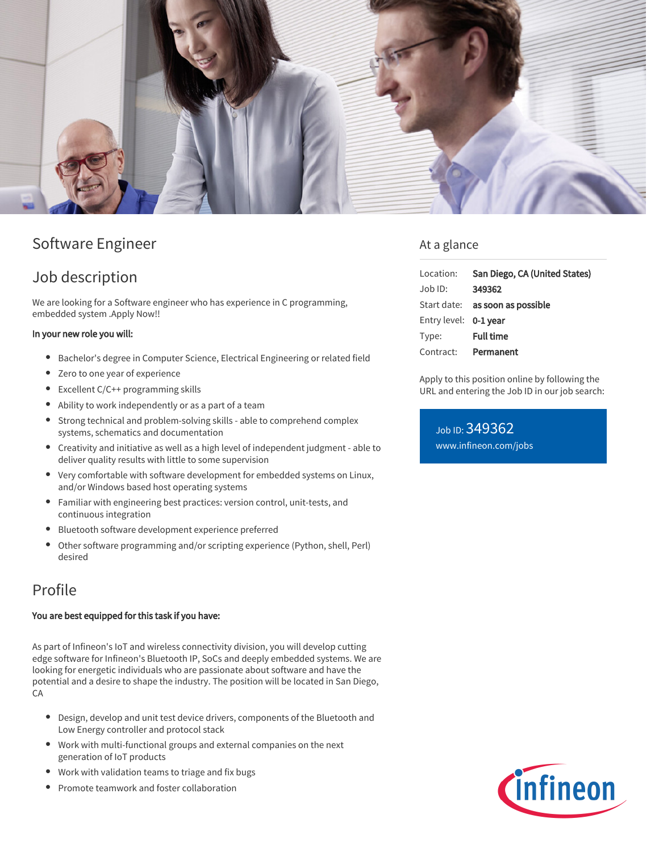

# Software Engineer

### Job description

We are looking for a Software engineer who has experience in C programming, embedded system .Apply Now!!

#### In your new role you will:

- Bachelor's degree in Computer Science, Electrical Engineering or related field
- Zero to one year of experience
- Excellent C/C++ programming skills
- Ability to work independently or as a part of a team
- Strong technical and problem-solving skills able to comprehend complex systems, schematics and documentation
- Creativity and initiative as well as a high level of independent judgment able to deliver quality results with little to some supervision
- Very comfortable with software development for embedded systems on Linux, and/or Windows based host operating systems
- $\bullet$ Familiar with engineering best practices: version control, unit-tests, and continuous integration
- Bluetooth software development experience preferred
- Other software programming and/or scripting experience (Python, shell, Perl) desired

## Profile

#### You are best equipped for this task if you have:

As part of Infineon's IoT and wireless connectivity division, you will develop cutting edge software for Infineon's Bluetooth IP, SoCs and deeply embedded systems. We are looking for energetic individuals who are passionate about software and have the potential and a desire to shape the industry. The position will be located in San Diego, CA

- $\bullet$ Design, develop and unit test device drivers, components of the Bluetooth and Low Energy controller and protocol stack
- Work with multi-functional groups and external companies on the next generation of IoT products
- Work with validation teams to triage and fix bugs
- Promote teamwork and foster collaboration

### At a glance

| Location:             | San Diego, CA (United States)   |
|-----------------------|---------------------------------|
| $Job$ ID:             | 349362                          |
|                       | Start date: as soon as possible |
| Entry level: 0-1 year |                                 |
| Type:                 | <b>Full time</b>                |
| Contract:             | Permanent                       |

Apply to this position online by following the URL and entering the Job ID in our job search:

Job ID: 349362 [www.infineon.com/jobs](https://www.infineon.com/jobs)